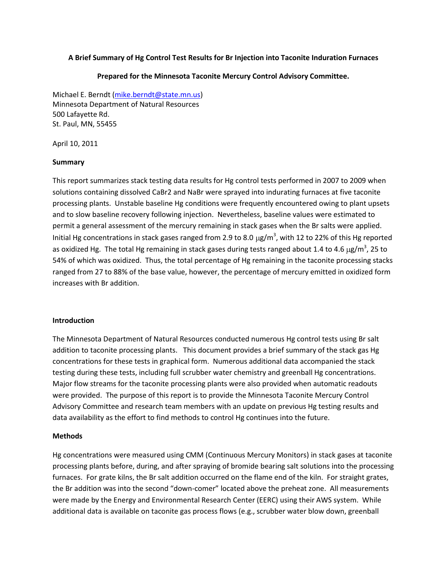# **A Brief Summary of Hg Control Test Results for Br Injection into Taconite Induration Furnaces**

### **Prepared for the Minnesota Taconite Mercury Control Advisory Committee.**

Michael E. Berndt [\(mike.berndt@state.mn.us\)](mailto:mike.berndt@state.mn.us) Minnesota Department of Natural Resources 500 Lafayette Rd. St. Paul, MN, 55455

April 10, 2011

## **Summary**

This report summarizes stack testing data results for Hg control tests performed in 2007 to 2009 when solutions containing dissolved CaBr2 and NaBr were sprayed into indurating furnaces at five taconite processing plants. Unstable baseline Hg conditions were frequently encountered owing to plant upsets and to slow baseline recovery following injection. Nevertheless, baseline values were estimated to permit a general assessment of the mercury remaining in stack gases when the Br salts were applied. Initial Hg concentrations in stack gases ranged from 2.9 to 8.0  $\mu$ g/m<sup>3</sup>, with 12 to 22% of this Hg reported as oxidized Hg. The total Hg remaining in stack gases during tests ranged about 1.4 to 4.6  $\mu$ g/m<sup>3</sup>, 25 to 54% of which was oxidized. Thus, the total percentage of Hg remaining in the taconite processing stacks ranged from 27 to 88% of the base value, however, the percentage of mercury emitted in oxidized form increases with Br addition.

#### **Introduction**

The Minnesota Department of Natural Resources conducted numerous Hg control tests using Br salt addition to taconite processing plants. This document provides a brief summary of the stack gas Hg concentrations for these tests in graphical form. Numerous additional data accompanied the stack testing during these tests, including full scrubber water chemistry and greenball Hg concentrations. Major flow streams for the taconite processing plants were also provided when automatic readouts were provided. The purpose of this report is to provide the Minnesota Taconite Mercury Control Advisory Committee and research team members with an update on previous Hg testing results and data availability as the effort to find methods to control Hg continues into the future.

#### **Methods**

Hg concentrations were measured using CMM (Continuous Mercury Monitors) in stack gases at taconite processing plants before, during, and after spraying of bromide bearing salt solutions into the processing furnaces. For grate kilns, the Br salt addition occurred on the flame end of the kiln. For straight grates, the Br addition was into the second "down-comer" located above the preheat zone. All measurements were made by the Energy and Environmental Research Center (EERC) using their AWS system. While additional data is available on taconite gas process flows (e.g., scrubber water blow down, greenball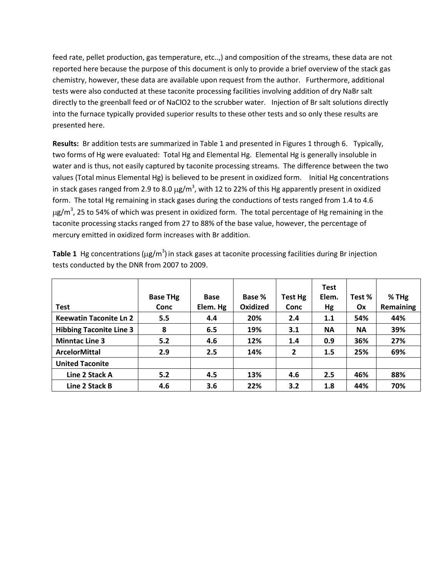feed rate, pellet production, gas temperature, etc..,) and composition of the streams, these data are not reported here because the purpose of this document is only to provide a brief overview of the stack gas chemistry, however, these data are available upon request from the author. Furthermore, additional tests were also conducted at these taconite processing facilities involving addition of dry NaBr salt directly to the greenball feed or of NaClO2 to the scrubber water. Injection of Br salt solutions directly into the furnace typically provided superior results to these other tests and so only these results are presented here.

**Results:** Br addition tests are summarized in Table 1 and presented in Figures 1 through 6. Typically, two forms of Hg were evaluated: Total Hg and Elemental Hg. Elemental Hg is generally insoluble in water and is thus, not easily captured by taconite processing streams. The difference between the two values (Total minus Elemental Hg) is believed to be present in oxidized form. Initial Hg concentrations in stack gases ranged from 2.9 to 8.0  $\mu$ g/m<sup>3</sup>, with 12 to 22% of this Hg apparently present in oxidized form. The total Hg remaining in stack gases during the conductions of tests ranged from 1.4 to 4.6 g/m<sup>3</sup>, 25 to 54% of which was present in oxidized form. The total percentage of Hg remaining in the taconite processing stacks ranged from 27 to 88% of the base value, however, the percentage of mercury emitted in oxidized form increases with Br addition.

|                                |                 |             |                 |         | <b>Test</b> |           |           |
|--------------------------------|-----------------|-------------|-----------------|---------|-------------|-----------|-----------|
|                                | <b>Base THg</b> | <b>Base</b> | Base %          | Test Hg | Elem.       | Test %    | $%$ THg   |
| <b>Test</b>                    | Conc            | Elem. Hg    | <b>Oxidized</b> | Conc    | Hg          | 0x        | Remaining |
| <b>Keewatin Taconite Ln 2</b>  | 5.5             | 4.4         | 20%             | 2.4     | 1.1         | 54%       | 44%       |
| <b>Hibbing Taconite Line 3</b> | 8               | 6.5         | 19%             | 3.1     | <b>NA</b>   | <b>NA</b> | 39%       |
| <b>Minntac Line 3</b>          | 5.2             | 4.6         | 12%             | 1.4     | 0.9         | 36%       | 27%       |
| <b>ArcelorMittal</b>           | 2.9             | 2.5         | 14%             | 2       | 1.5         | 25%       | 69%       |
| <b>United Taconite</b>         |                 |             |                 |         |             |           |           |
| Line 2 Stack A                 | 5.2             | 4.5         | 13%             | 4.6     | 2.5         | 46%       | 88%       |
| Line 2 Stack B                 | 4.6             | 3.6         | 22%             | 3.2     | 1.8         | 44%       | 70%       |

**Table 1** Hg concentrations ( $\mu$ g/m<sup>3</sup>) in stack gases at taconite processing facilities during Br injection tests conducted by the DNR from 2007 to 2009.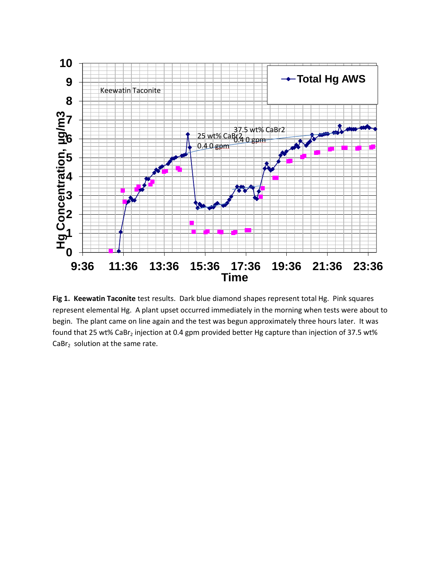

**Fig 1. Keewatin Taconite** test results. Dark blue diamond shapes represent total Hg. Pink squares represent elemental Hg. A plant upset occurred immediately in the morning when tests were about to begin. The plant came on line again and the test was begun approximately three hours later. It was found that 25 wt% CaBr<sub>2</sub> injection at 0.4 gpm provided better Hg capture than injection of 37.5 wt%  $CaBr<sub>2</sub>$  solution at the same rate.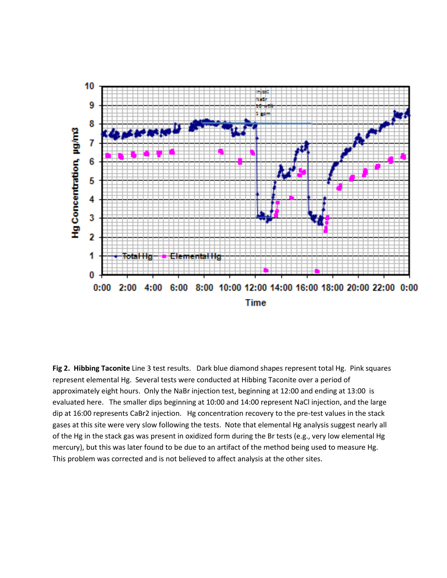

**Fig 2. Hibbing Taconite** Line 3 test results. Dark blue diamond shapes represent total Hg. Pink squares represent elemental Hg. Several tests were conducted at Hibbing Taconite over a period of approximately eight hours. Only the NaBr injection test, beginning at 12:00 and ending at 13:00 is evaluated here. The smaller dips beginning at 10:00 and 14:00 represent NaCl injection, and the large dip at 16:00 represents CaBr2 injection. Hg concentration recovery to the pre-test values in the stack gases at this site were very slow following the tests. Note that elemental Hg analysis suggest nearly all of the Hg in the stack gas was present in oxidized form during the Br tests (e.g., very low elemental Hg mercury), but this was later found to be due to an artifact of the method being used to measure Hg. This problem was corrected and is not believed to affect analysis at the other sites.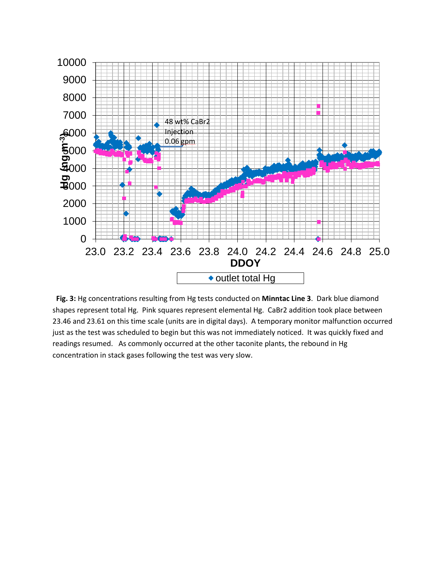

 **Fig. 3:** Hg concentrations resulting from Hg tests conducted on **Minntac Line 3**. Dark blue diamond shapes represent total Hg. Pink squares represent elemental Hg. CaBr2 addition took place between 23.46 and 23.61 on this time scale (units are in digital days). A temporary monitor malfunction occurred just as the test was scheduled to begin but this was not immediately noticed. It was quickly fixed and readings resumed. As commonly occurred at the other taconite plants, the rebound in Hg concentration in stack gases following the test was very slow.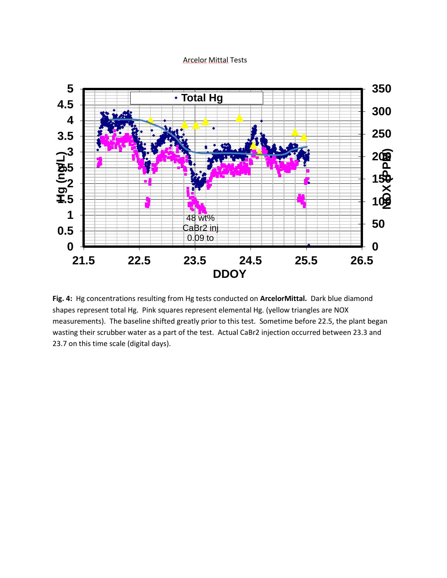## Arcelor Mittal Tests



**Fig. 4:** Hg concentrations resulting from Hg tests conducted on **ArcelorMittal.** Dark blue diamond shapes represent total Hg. Pink squares represent elemental Hg. (yellow triangles are NOX measurements). The baseline shifted greatly prior to this test. Sometime before 22.5, the plant began wasting their scrubber water as a part of the test. Actual CaBr2 injection occurred between 23.3 and 23.7 on this time scale (digital days).